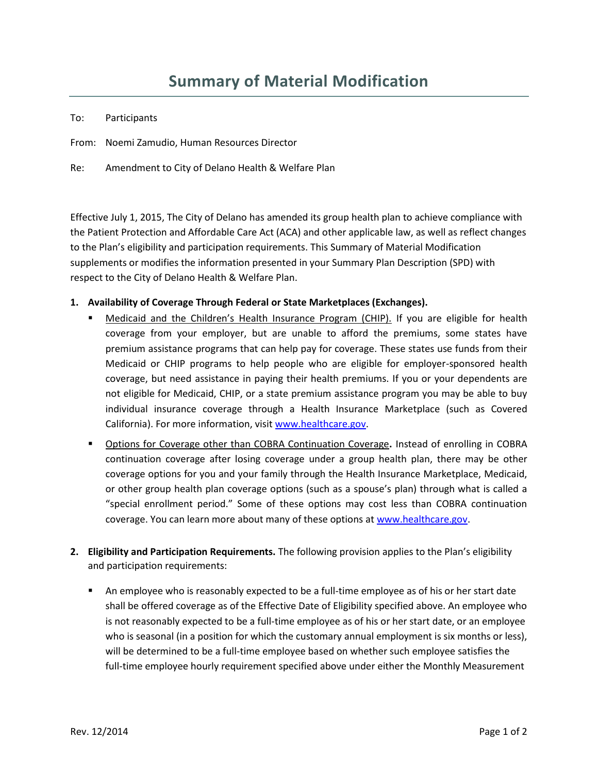| To: | Participants |
|-----|--------------|
|-----|--------------|

From: Noemi Zamudio, Human Resources Director

Re: Amendment to City of Delano Health & Welfare Plan

Effective July 1, 2015, The City of Delano has amended its group health plan to achieve compliance with the Patient Protection and Affordable Care Act (ACA) and other applicable law, as well as reflect changes to the Plan's eligibility and participation requirements. This Summary of Material Modification supplements or modifies the information presented in your Summary Plan Description (SPD) with respect to the City of Delano Health & Welfare Plan.

## **1. Availability of Coverage Through Federal or State Marketplaces (Exchanges).**

- Medicaid and the Children's Health Insurance Program (CHIP). If you are eligible for health coverage from your employer, but are unable to afford the premiums, some states have premium assistance programs that can help pay for coverage. These states use funds from their Medicaid or CHIP programs to help people who are eligible for employer-sponsored health coverage, but need assistance in paying their health premiums. If you or your dependents are not eligible for Medicaid, CHIP, or a state premium assistance program you may be able to buy individual insurance coverage through a Health Insurance Marketplace (such as Covered California). For more information, visit [www.healthcare.gov.](http://www.healthcare.gov/)
- Options for Coverage other than COBRA Continuation Coverage**.** Instead of enrolling in COBRA continuation coverage after losing coverage under a group health plan, there may be other coverage options for you and your family through the Health Insurance Marketplace, Medicaid, or other group health plan coverage options (such as a spouse's plan) through what is called a "special enrollment period." Some of these options may cost less than COBRA continuation coverage. You can learn more about many of these options at [www.healthcare.gov.](http://www.healthcare.gov/)
- **2. Eligibility and Participation Requirements.** The following provision applies to the Plan's eligibility and participation requirements:
	- An employee who is reasonably expected to be a full-time employee as of his or her start date shall be offered coverage as of the Effective Date of Eligibility specified above. An employee who is not reasonably expected to be a full-time employee as of his or her start date, or an employee who is seasonal (in a position for which the customary annual employment is six months or less), will be determined to be a full-time employee based on whether such employee satisfies the full-time employee hourly requirement specified above under either the Monthly Measurement